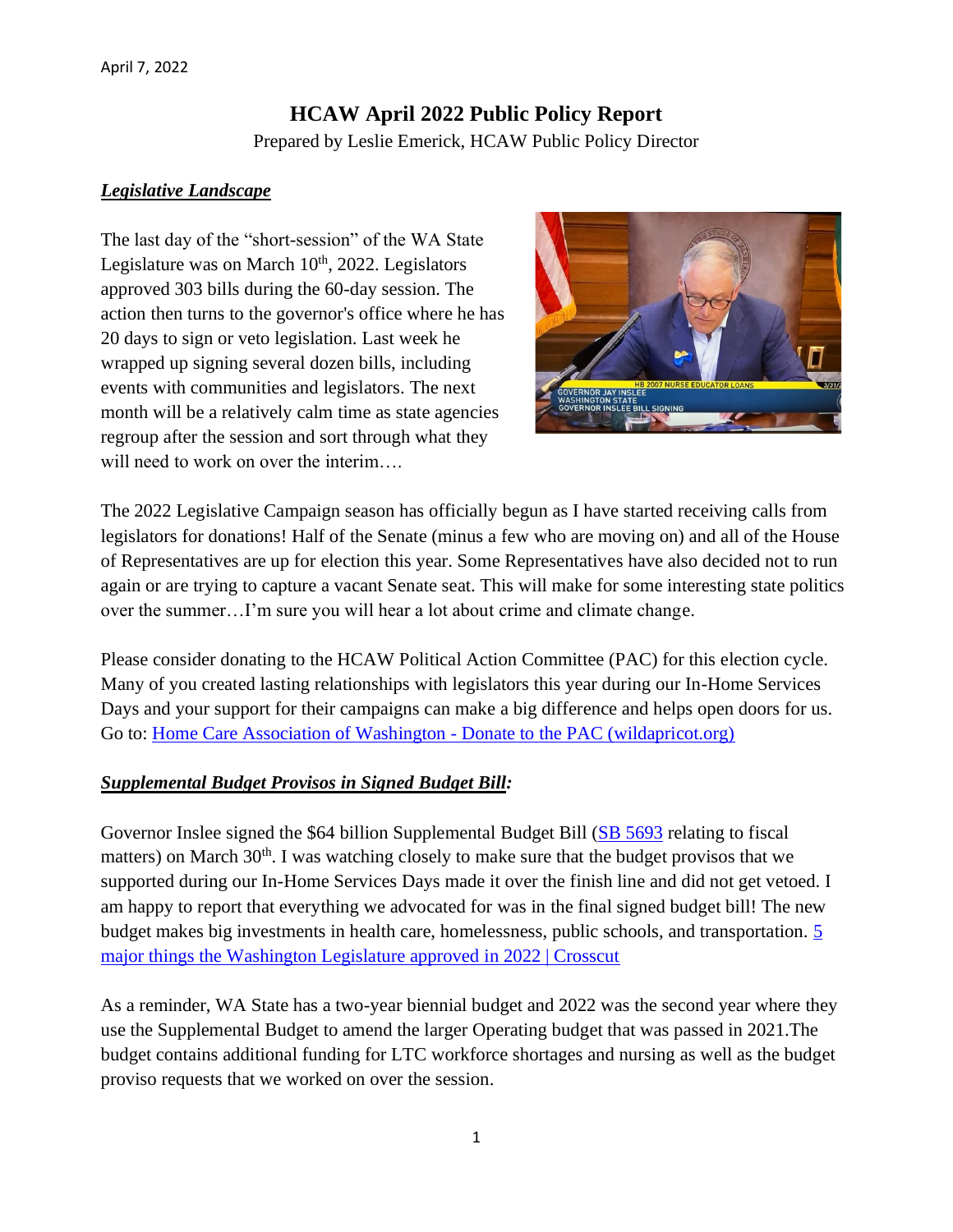# **HCAW April 2022 Public Policy Report** Prepared by Leslie Emerick, HCAW Public Policy Director

#### *Legislative Landscape*

The last day of the "short-session" of the WA State Legislature was on March  $10<sup>th</sup>$ , 2022. Legislators approved 303 bills during the 60-day session. The action then turns to the governor's office where he has 20 days to sign or veto legislation. Last week he wrapped up signing several dozen bills, including events with communities and legislators. The next month will be a relatively calm time as state agencies regroup after the session and sort through what they will need to work on over the interim....



The 2022 Legislative Campaign season has officially begun as I have started receiving calls from legislators for donations! Half of the Senate (minus a few who are moving on) and all of the House of Representatives are up for election this year. Some Representatives have also decided not to run again or are trying to capture a vacant Senate seat. This will make for some interesting state politics over the summer…I'm sure you will hear a lot about crime and climate change.

Please consider donating to the HCAW Political Action Committee (PAC) for this election cycle. Many of you created lasting relationships with legislators this year during our In-Home Services Days and your support for their campaigns can make a big difference and helps open doors for us. Go to: [Home Care Association of Washington -](https://lnks.gd/l/eyJhbGciOiJIUzI1NiJ9.eyJidWxsZXRpbl9saW5rX2lkIjoxMDEsInVyaSI6ImJwMjpjbGljayIsImJ1bGxldGluX2lkIjoiMjAyMTExMjQuNDkzNTUyMDEiLCJ1cmwiOiJodHRwczovL2NvbnRlbnQuZ292ZGVsaXZlcnkuY29tL2F0dGFjaG1lbnRzL1dBRE9ILzIwMjEvMTEvMjQvZmlsZV9hdHRhY2htZW50cy8yMDA1NjEyL1dTUiUyMDIxLTE2LTA5Ni5wZGYifQ.HyxNxHyV0yeUScEi1RKHOCtANvaXc76Wwdtpn-gmwPw/s/717258116/br/121696839483-l) Donate to the PAC (wildapricot.org)

#### *Supplemental Budget Provisos in Signed Budget Bill:*

Governor Inslee signed the \$64 billion Supplemental Budget Bill [\(SB 5693](http://app.leg.wa.gov/billsummary?BillNumber=5693&Year=2021&Initiative=false) relating to fiscal matters) on March  $30<sup>th</sup>$ . I was watching closely to make sure that the budget provisos that we supported during our In-Home Services Days made it over the finish line and did not get vetoed. I am happy to report that everything we advocated for was in the final signed budget bill! The new budget makes big investments in health care, homelessness, public schools, and transportation. [5](https://crosscut.com/politics/2022/03/5-major-things-washington-legislature-approved-2022)  major things the [Washington Legislature approved in 2022 | Crosscut](https://crosscut.com/politics/2022/03/5-major-things-washington-legislature-approved-2022)

As a reminder, WA State has a two-year biennial budget and 2022 was the second year where they use the Supplemental Budget to amend the larger Operating budget that was passed in 2021.The budget contains additional funding for LTC workforce shortages and nursing as well as the budget proviso requests that we worked on over the session.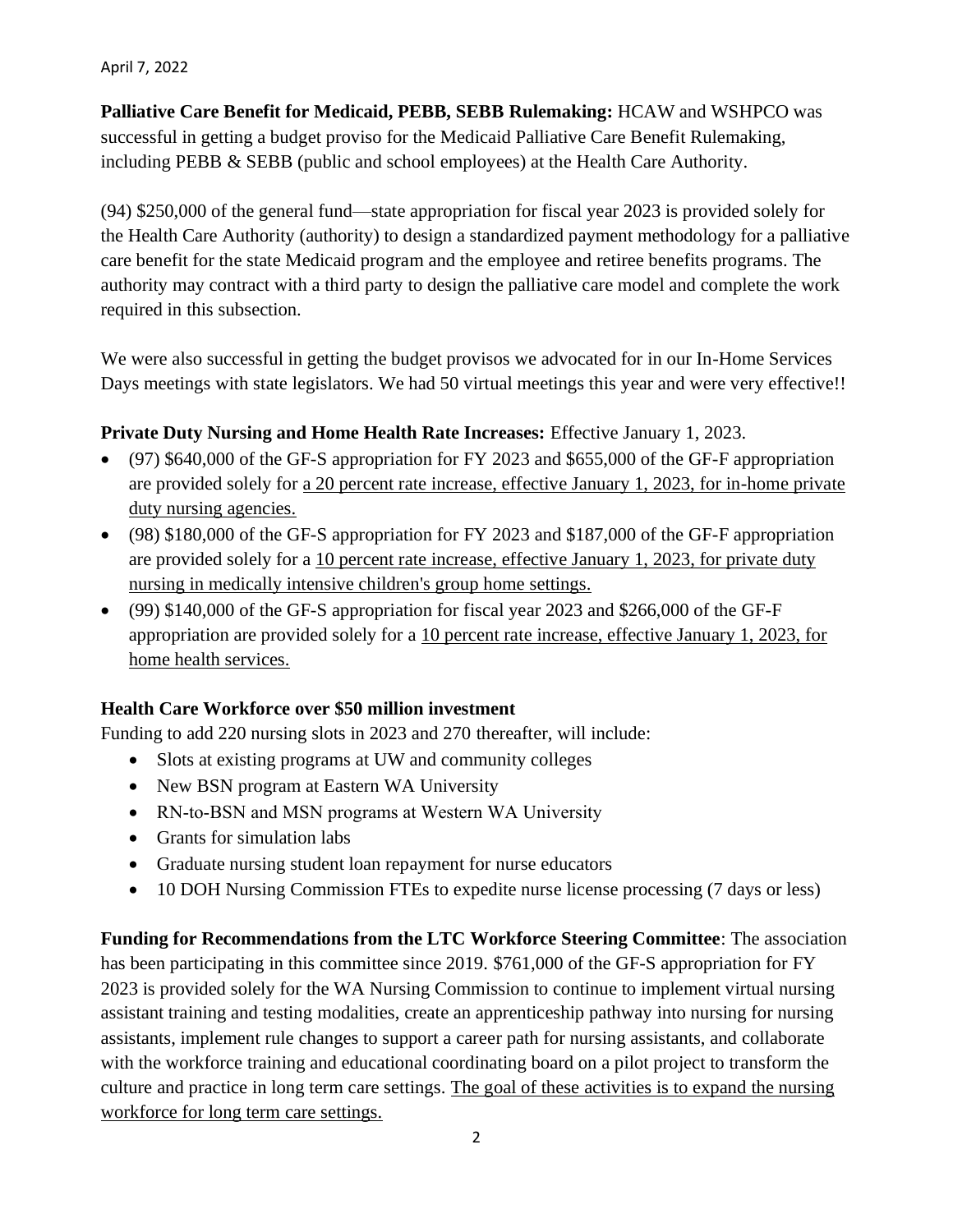April 7, 2022

**Palliative Care Benefit for Medicaid, PEBB, SEBB Rulemaking:** HCAW and WSHPCO was successful in getting a budget proviso for the Medicaid Palliative Care Benefit Rulemaking, including PEBB & SEBB (public and school employees) at the Health Care Authority.

(94) \$250,000 of the general fund—state appropriation for fiscal year 2023 is provided solely for the Health Care Authority (authority) to design a standardized payment methodology for a palliative care benefit for the state Medicaid program and the employee and retiree benefits programs. The authority may contract with a third party to design the palliative care model and complete the work required in this subsection.

We were also successful in getting the budget provisos we advocated for in our In-Home Services Days meetings with state legislators. We had 50 virtual meetings this year and were very effective!!

## **Private Duty Nursing and Home Health Rate Increases:** Effective January 1, 2023.

- (97) \$640,000 of the GF-S appropriation for FY 2023 and \$655,000 of the GF-F appropriation are provided solely for a 20 percent rate increase, effective January 1, 2023, for in-home private duty nursing agencies.
- (98) \$180,000 of the GF-S appropriation for FY 2023 and \$187,000 of the GF-F appropriation are provided solely for a 10 percent rate increase, effective January 1, 2023, for private duty nursing in medically intensive children's group home settings.
- (99) \$140,000 of the GF-S appropriation for fiscal year 2023 and \$266,000 of the GF-F appropriation are provided solely for a 10 percent rate increase, effective January 1, 2023, for home health services.

### **Health Care Workforce over \$50 million investment**

Funding to add 220 nursing slots in 2023 and 270 thereafter, will include:

- Slots at existing programs at UW and community colleges
- New BSN program at Eastern WA University
- RN-to-BSN and MSN programs at Western WA University
- Grants for simulation labs
- Graduate nursing student loan repayment for nurse educators
- 10 DOH Nursing Commission FTEs to expedite nurse license processing (7 days or less)

**Funding for Recommendations from the LTC Workforce Steering Committee**: The association has been participating in this committee since 2019. \$761,000 of the GF-S appropriation for FY 2023 is provided solely for the WA Nursing Commission to continue to implement virtual nursing assistant training and testing modalities, create an apprenticeship pathway into nursing for nursing assistants, implement rule changes to support a career path for nursing assistants, and collaborate with the workforce training and educational coordinating board on a pilot project to transform the culture and practice in long term care settings. The goal of these activities is to expand the nursing workforce for long term care settings.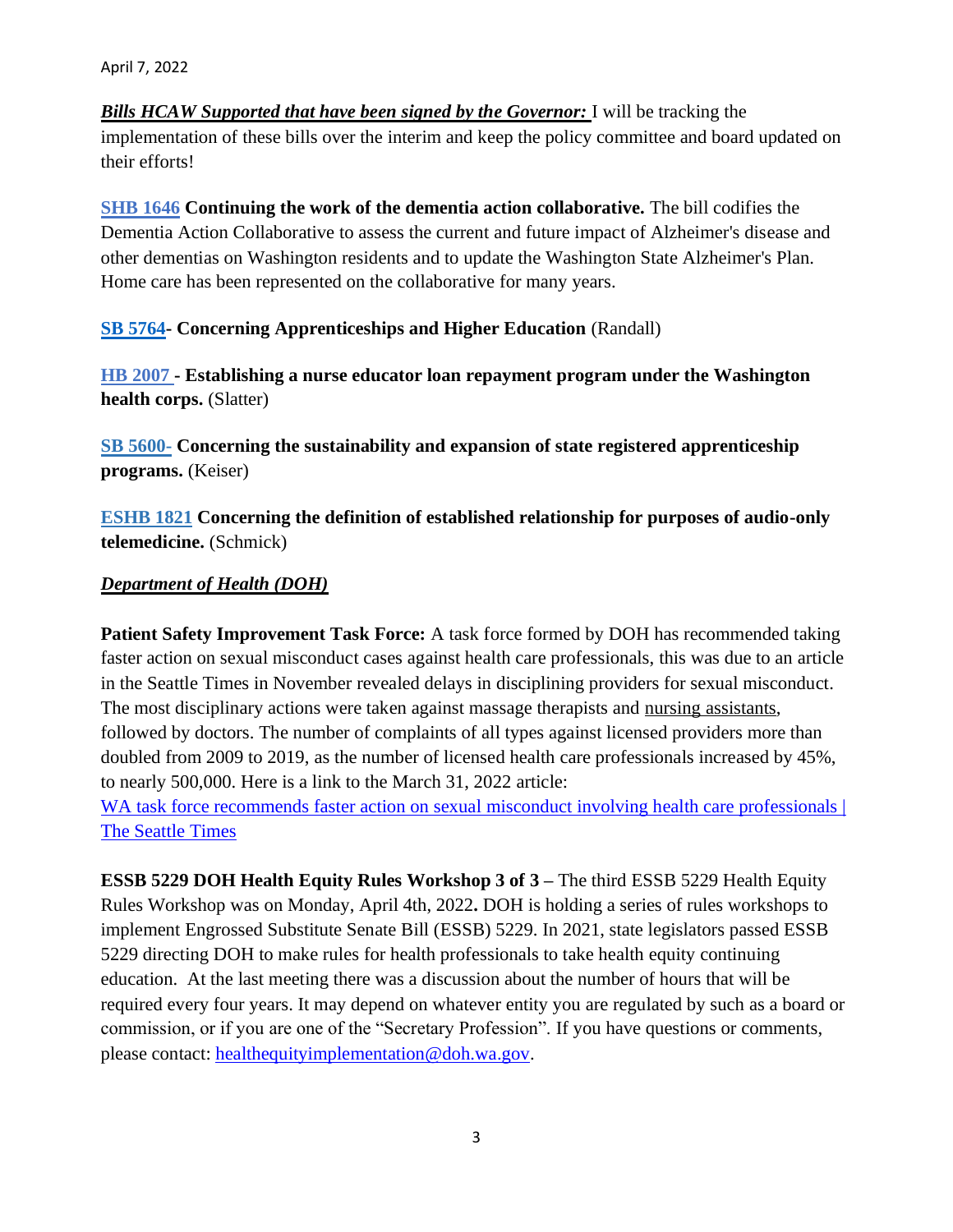*Bills HCAW Supported that have been signed by the Governor:* I will be tracking the implementation of these bills over the interim and keep the policy committee and board updated on their efforts!

**[SHB 1646](https://lawfilesext.leg.wa.gov/biennium/2021-22/Pdf/Bills/Session%20Laws/House/1120-S.SL.pdf?Year=2021&BillNumber=1646) Continuing the work of the dementia action collaborative.** The bill codifies the Dementia Action Collaborative to assess the current and future impact of Alzheimer's disease and other dementias on Washington residents and to update the Washington State Alzheimer's Plan. Home care has been represented on the collaborative for many years.

**[SB 5764-](https://app.leg.wa.gov/billsummary?BillNumber=5764&Initiative=false&Year=2021) Concerning Apprenticeships and Higher Education** (Randall)

**[HB 2007](https://mandrillapp.com/track/click/30092732/app.leg.wa.gov?p=eyJzIjoiZkJOdWh1TlF2WjFHLW9rWGJGVEt3TXA1NWNZIiwidiI6MSwicCI6IntcInVcIjozMDA5MjczMixcInZcIjoxLFwidXJsXCI6XCJodHRwczpcXFwvXFxcL2FwcC5sZWcud2EuZ292XFxcL2JpbGxzdW1tYXJ5P1llYXI9MjAyMiZCaWxsTnVtYmVyPTIwMDdcIixcImlkXCI6XCJlMjNjMjM1Njg2MGE0ZGNlOWFlMWVhMTFkYjlmY2JjMFwiLFwidXJsX2lkc1wiOltcIjRjYmIyMGY3YTY3YWEwNWQ5Zjk4Y2QwMDMwZjg1ODdlZTc3NmJmNjJcIl19In0) - Establishing a nurse educator loan repayment program under the Washington health corps.** (Slatter)

**[SB 5600-](https://nam12.safelinks.protection.outlook.com/?BillNumber=5600&Year=2021&Initiative=false) Concerning the sustainability and expansion of state registered apprenticeship programs.** (Keiser)

**[ESHB 1821](https://lnks.gd/l/eyJhbGciOiJIUzI1NiJ9.eyJidWxsZXRpbl9saW5rX2lkIjoxMDEsInVyaSI6ImJwMjpjbGljayIsImJ1bGxldGluX2lkIjoiMjAyMTExMDIuNDgyOTA2MTEiLCJ1cmwiOiJodHRwczovL2FwcC5sZWcud2EuZ292L1dBQy9kZWZhdWx0LmFzcHg_Y2l0ZT0zODgtMTEyYS0wMDEwJnV0bV9tZWRpdW09ZW1haWwmdXRtX3NvdXJjZT1nb3ZkZWxpdmVyeSJ9.LZBg8XmXSbvalqcHSSG4g63zRfX33OXoQo3prOOjg5s/s/815314662/br/116522721160-l?Year=2021&BillNumber=1821) Concerning the definition of established relationship for purposes of audio-only telemedicine.** (Schmick)

### *Department of Health (DOH)*

**Patient Safety Improvement Task Force:** A task force formed by DOH has recommended taking faster action on sexual misconduct cases against health care professionals, this was due to an article in the Seattle Times in November revealed delays in disciplining providers for sexual misconduct. The most disciplinary actions were taken against massage therapists and nursing assistants, followed by doctors. The number of complaints of all types against licensed providers more than doubled from 2009 to 2019, as the number of licensed health care professionals increased by 45%, to nearly 500,000. Here is a link to the March 31, 2022 article:

WA task force recommends faster action on sexual misconduct involving health care professionals  $\vert$ [The Seattle Times](https://www.seattletimes.com/seattle-news/times-watchdog/washington-state-task-force-aims-to-act-faster-on-sexual-misconduct/)

**ESSB 5229 DOH Health Equity Rules Workshop 3 of 3 –** The third ESSB 5229 Health Equity Rules Workshop was on Monday, April 4th, 2022**.** DOH is holding a series of rules workshops to implement Engrossed Substitute Senate Bill (ESSB) 5229. In 2021, state legislators passed ESSB 5229 directing DOH to make rules for health professionals to take health equity continuing education. At the last meeting there was a discussion about the number of hours that will be required every four years. It may depend on whatever entity you are regulated by such as a board or commission, or if you are one of the "Secretary Profession". If you have questions or comments, please contact: [healthequityimplementation@doh.wa.gov.](https://lnks.gd/l/eyJhbGciOiJIUzI1NiJ9.eyJidWxsZXRpbl9saW5rX2lkIjoxMDMsInVyaSI6ImJwMjpjbGljayIsImJ1bGxldGluX2lkIjoiMjAyMjA0MDcuNTYwOTQ2MTEiLCJ1cmwiOiJodHRwczovL2FwcC5sZWcud2EuZ292L3Jjdy9kZWZhdWx0LmFzcHg_Y2l0ZT00OS4xNy4wNjImdXRtX21lZGl1bT1lbWFpbCZ1dG1fc291cmNlPWdvdmRlbGl2ZXJ5In0.ohlkzNh-wisr-S9YGRDEImT0V-14_5aQoZSUvZd5udk/s/767908333/br/129508299077-l)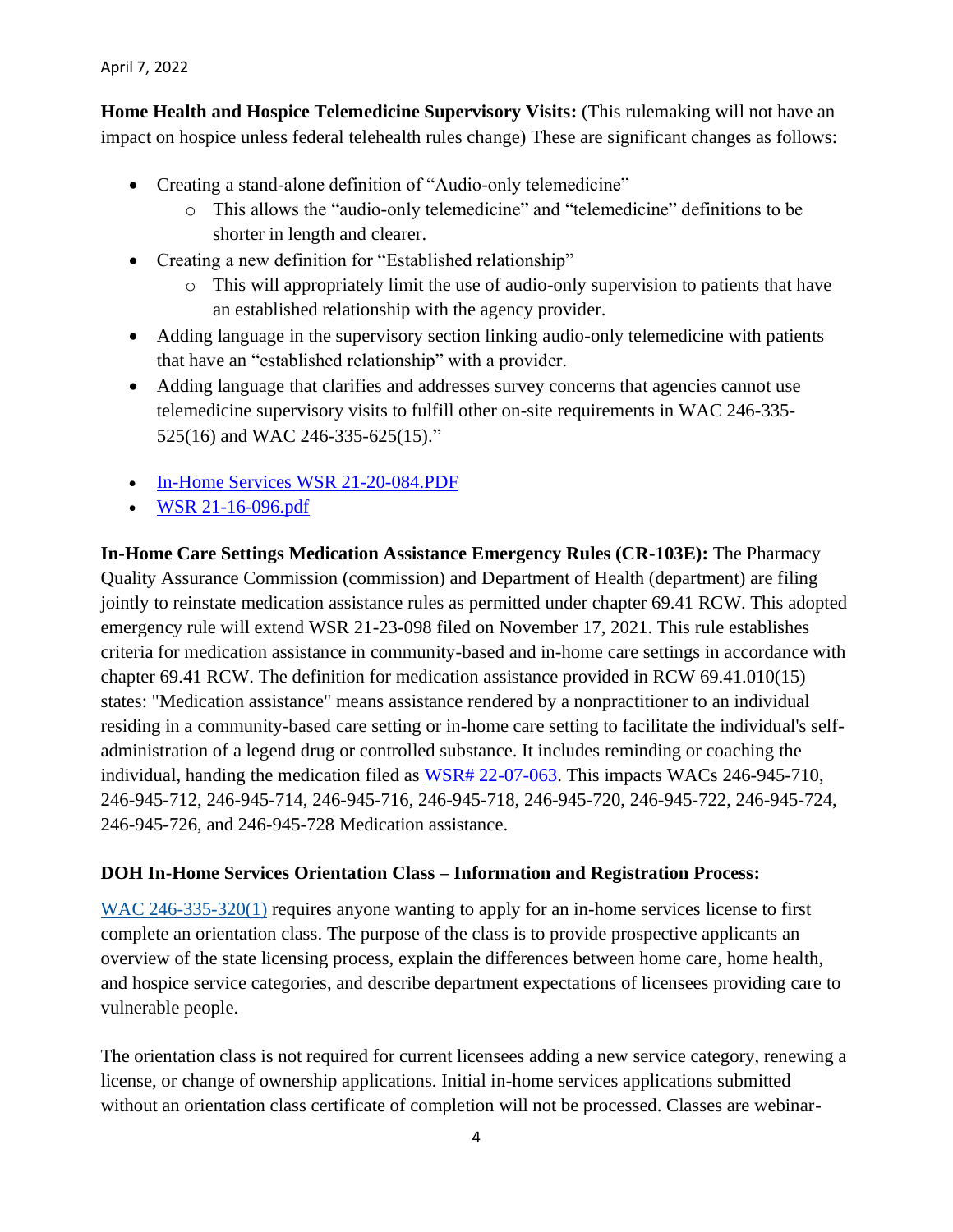```
April 7, 2022
```
**Home Health and Hospice Telemedicine Supervisory Visits:** (This rulemaking will not have an impact on hospice unless federal telehealth rules change) These are significant changes as follows:

- Creating a stand-alone definition of "Audio-only telemedicine"
	- o This allows the "audio-only telemedicine" and "telemedicine" definitions to be shorter in length and clearer.
- Creating a new definition for "Established relationship"
	- $\circ$  This will appropriately limit the use of audio-only supervision to patients that have an established relationship with the agency provider.
- Adding language in the supervisory section linking audio-only telemedicine with patients that have an "established relationship" with a provider.
- Adding language that clarifies and addresses survey concerns that agencies cannot use telemedicine supervisory visits to fulfill other on-site requirements in WAC 246-335- 525(16) and WAC 246-335-625(15)."
- [In-Home Services WSR 21-20-084.PDF](https://lnks.gd/l/eyJhbGciOiJIUzI1NiJ9.eyJidWxsZXRpbl9saW5rX2lkIjoxMDAsInVyaSI6ImJwMjpjbGljayIsImJ1bGxldGluX2lkIjoiMjAyMTExMjQuNDkzNTUyMDEiLCJ1cmwiOiJodHRwczovL2NvbnRlbnQuZ292ZGVsaXZlcnkuY29tL2F0dGFjaG1lbnRzL1dBRE9ILzIwMjEvMTEvMjQvZmlsZV9hdHRhY2htZW50cy8yMDA1NjAzL0luLUhvbWUlMjBTZXJ2aWNlcyUyMFdTUiUyMDIxLTIwLTA4NC5QREYifQ.2KM6WI_ejY5Cm0-wXFhkq0GJj9nJyOiAlwIE1KCiM0c/s/717258116/br/121696839483-l)
- [WSR 21-16-096.pdf](https://app.leg.wa.gov/billsummary)

**In-Home Care Settings Medication Assistance Emergency Rules (CR-103E):** The Pharmacy Quality Assurance Commission (commission) and Department of Health (department) are filing jointly to reinstate medication assistance rules as permitted under chapter 69.41 RCW. This adopted emergency rule will extend WSR 21-23-098 filed on November 17, 2021. This rule establishes criteria for medication assistance in community-based and in-home care settings in accordance with chapter 69.41 RCW. The definition for medication assistance provided in RCW 69.41.010(15) states: "Medication assistance" means assistance rendered by a nonpractitioner to an individual residing in a community-based care setting or in-home care setting to facilitate the individual's selfadministration of a legend drug or controlled substance. It includes reminding or coaching the individual, handing the medication filed as [WSR# 22-07-063.](https://www.doh.wa.gov/ForPublicHealthandHealthcareProviders/RuralHealth) This impacts WACs 246-945-710, 246-945-712, 246-945-714, 246-945-716, 246-945-718, 246-945-720, 246-945-722, 246-945-724, 246-945-726, and 246-945-728 Medication assistance.

### **DOH In-Home Services Orientation Class – Information and Registration Process:**

[WAC 246-335-320\(1\)](https://app.leg.wa.gov/WAC/default.aspx?cite=246-335-320) requires anyone wanting to apply for an in-home services license to first complete an orientation class. The purpose of the class is to provide prospective applicants an overview of the state licensing process, explain the differences between home care, home health, and hospice service categories, and describe department expectations of licensees providing care to vulnerable people.

The orientation class is not required for current licensees adding a new service category, renewing a license, or change of ownership applications. Initial in-home services applications submitted without an orientation class certificate of completion will not be processed. Classes are webinar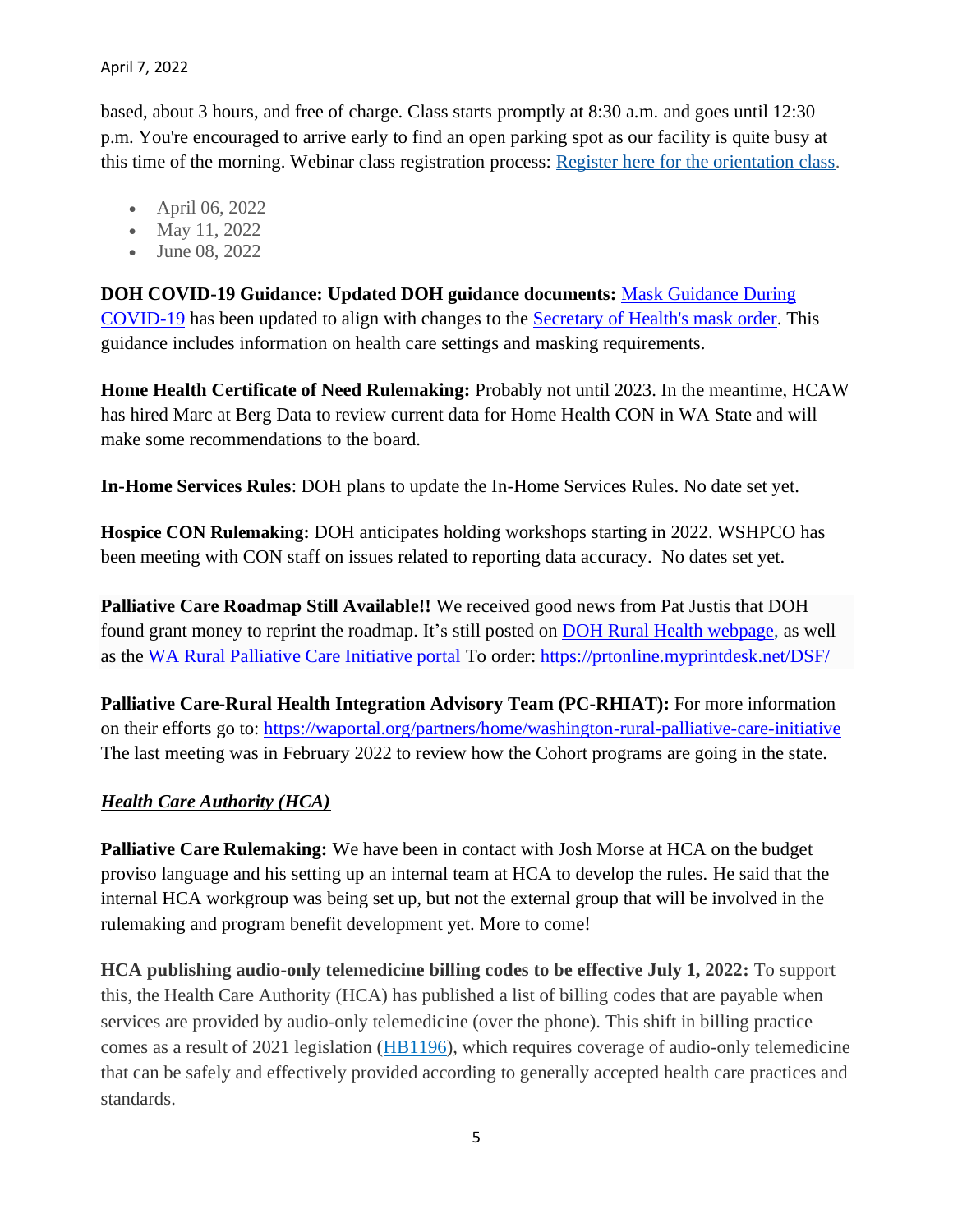based, about 3 hours, and free of charge. Class starts promptly at 8:30 a.m. and goes until 12:30 p.m. You're encouraged to arrive early to find an open parking spot as our facility is quite busy at this time of the morning. Webinar class registration process: [Register here for the orientation class.](https://lnks.gd/l/eyJhbGciOiJIUzI1NiJ9.eyJidWxsZXRpbl9saW5rX2lkIjoxMDQsInVyaSI6ImJwMjpjbGljayIsImJ1bGxldGluX2lkIjoiMjAyMjA0MDcuNTYwOTQ2MTEiLCJ1cmwiOiJodHRwczovL2FwcC5sZWcud2EuZ292L3Jjdy9kZWZhdWx0LmFzcHg_Y2l0ZT00OS4xNy4wNjQmdXRtX21lZGl1bT1lbWFpbCZ1dG1fc291cmNlPWdvdmRlbGl2ZXJ5In0.gB71BGMENeK4xb_HHxCE11P8zQr7pGLTwBSiP1wecSk/s/767908333/br/129508299077-l?s=IHSreg)

- April 06, 2022
- May 11, 2022
- June 08, 2022

**DOH COVID-19 Guidance: Updated DOH guidance documents:** [Mask Guidance During](https://lnks.gd/l/eyJhbGciOiJIUzI1NiJ9.eyJidWxsZXRpbl9saW5rX2lkIjoxMDEsInVyaSI6ImJwMjpjbGljayIsImJ1bGxldGluX2lkIjoiMjAyMjAzMTUuNTQ5NzA3MTEiLCJ1cmwiOiJodHRwczovL2djYzAyLnNhZmVsaW5rcy5wcm90ZWN0aW9uLm91dGxvb2suY29tLz91cmw9aHR0cHMlM0ElMkYlMkZkb2gud2EuZ292JTJGc2l0ZXMlMkZkZWZhdWx0JTJGZmlsZXMlMkZsZWdhY3klMkZEb2N1bWVudHMlMkYxNjAwJTJGY29yb25hdmlydXMlMkZDbG90aEZhY2VtYXNrcy5wZGYmZGF0YT0wNCU3QzAxJTdDQ2luZHkuTWFyamFtYWElNDBET0guV0EuR09WJTdDYjkyNWM3OGM4NjBjNDkyYjM1NzcwOGRhMDZhY2MxMzklN0MxMWQwZTIxNzI2NGU0MDBhOGJhMDU3ZGNjMTI3ZDcyZCU3QzAlN0MwJTdDNjM3ODI5NjM2Mjg3NjYxOTY1JTdDVW5rbm93biU3Q1RXRnBiR1pzYjNkOGV5SldJam9pTUM0d0xqQXdNREFpTENKUUlqb2lWMmx1TXpJaUxDSkJUaUk2SWsxaGFXd2lMQ0pYVkNJNk1uMCUzRCU3QzMwMDAmc2RhdGE9b1kxOVY3RkRHd0wlMkI3S1pYZGxPZ3dVZzVQQnVicHEweTQ1MGNvSEkxd2swJTNEJnJlc2VydmVkPTAifQ.W-c_Ob2shUjcYjytp0YXzG-dvJebZyDooT1YhPL-zk0/s/717258116/br/128161376922-l)  [COVID-19](https://lnks.gd/l/eyJhbGciOiJIUzI1NiJ9.eyJidWxsZXRpbl9saW5rX2lkIjoxMDEsInVyaSI6ImJwMjpjbGljayIsImJ1bGxldGluX2lkIjoiMjAyMjAzMTUuNTQ5NzA3MTEiLCJ1cmwiOiJodHRwczovL2djYzAyLnNhZmVsaW5rcy5wcm90ZWN0aW9uLm91dGxvb2suY29tLz91cmw9aHR0cHMlM0ElMkYlMkZkb2gud2EuZ292JTJGc2l0ZXMlMkZkZWZhdWx0JTJGZmlsZXMlMkZsZWdhY3klMkZEb2N1bWVudHMlMkYxNjAwJTJGY29yb25hdmlydXMlMkZDbG90aEZhY2VtYXNrcy5wZGYmZGF0YT0wNCU3QzAxJTdDQ2luZHkuTWFyamFtYWElNDBET0guV0EuR09WJTdDYjkyNWM3OGM4NjBjNDkyYjM1NzcwOGRhMDZhY2MxMzklN0MxMWQwZTIxNzI2NGU0MDBhOGJhMDU3ZGNjMTI3ZDcyZCU3QzAlN0MwJTdDNjM3ODI5NjM2Mjg3NjYxOTY1JTdDVW5rbm93biU3Q1RXRnBiR1pzYjNkOGV5SldJam9pTUM0d0xqQXdNREFpTENKUUlqb2lWMmx1TXpJaUxDSkJUaUk2SWsxaGFXd2lMQ0pYVkNJNk1uMCUzRCU3QzMwMDAmc2RhdGE9b1kxOVY3RkRHd0wlMkI3S1pYZGxPZ3dVZzVQQnVicHEweTQ1MGNvSEkxd2swJTNEJnJlc2VydmVkPTAifQ.W-c_Ob2shUjcYjytp0YXzG-dvJebZyDooT1YhPL-zk0/s/717258116/br/128161376922-l) has been updated to align with changes to the [Secretary of Health's mask order.](https://lnks.gd/l/eyJhbGciOiJIUzI1NiJ9.eyJidWxsZXRpbl9saW5rX2lkIjoxMDIsInVyaSI6ImJwMjpjbGljayIsImJ1bGxldGluX2lkIjoiMjAyMjAzMTUuNTQ5NzA3MTEiLCJ1cmwiOiJodHRwczovL2djYzAyLnNhZmVsaW5rcy5wcm90ZWN0aW9uLm91dGxvb2suY29tLz91cmw9aHR0cHMlM0ElMkYlMkZ3d3cuZG9oLndhLmdvdiUyRlBvcnRhbHMlMkYxJTJGRG9jdW1lbnRzJTJGMTYwMCUyRmNvcm9uYXZpcnVzJTJGU2VjcmV0YXJ5X29mX0hlYWx0aF9PcmRlcl8yMC0wM19TdGF0ZXdpZGVfRmFjZV9Db3ZlcmluZ3MucGRmJmRhdGE9MDQlN0MwMSU3Q0NpbmR5Lk1hcmphbWFhJTQwRE9ILldBLkdPViU3Q2I5MjVjNzhjODYwYzQ5MmIzNTc3MDhkYTA2YWNjMTM5JTdDMTFkMGUyMTcyNjRlNDAwYThiYTA1N2RjYzEyN2Q3MmQlN0MwJTdDMCU3QzYzNzgyOTYzNjI4NzY2MTk2NSU3Q1Vua25vd24lN0NUV0ZwYkdac2IzZDhleUpXSWpvaU1DNHdMakF3TURBaUxDSlFJam9pVjJsdU16SWlMQ0pCVGlJNklrMWhhV3dpTENKWFZDSTZNbjAlM0QlN0MzMDAwJnNkYXRhPSUyQjBmOFd4bGlLaTZ4MTVVeW5MS0VwMyUyRmpwcyUyRnZ4T0hRNzBxZXB0SkpNZzglM0QmcmVzZXJ2ZWQ9MCJ9.2MMqQsPO2wF0PCg6MaT-8rhiqv89ff320ZIrgailt0M/s/717258116/br/128161376922-l) This guidance includes information on health care settings and masking requirements.

**Home Health Certificate of Need Rulemaking:** Probably not until 2023. In the meantime, HCAW has hired Marc at Berg Data to review current data for Home Health CON in WA State and will make some recommendations to the board.

**In-Home Services Rules**: DOH plans to update the In-Home Services Rules. No date set yet.

**Hospice CON Rulemaking:** DOH anticipates holding workshops starting in 2022. WSHPCO has been meeting with CON staff on issues related to reporting data accuracy. No dates set yet.

**Palliative Care Roadmap Still Available!!** We received good news from Pat Justis that DOH found grant money to reprint the roadmap. It's still posted on [DOH Rural Health webpage,](https://lnks.gd/l/eyJhbGciOiJIUzI1NiJ9.eyJidWxsZXRpbl9saW5rX2lkIjoxMDgsInVyaSI6ImJwMjpjbGljayIsImJ1bGxldGluX2lkIjoiMjAyMjA0MDcuNTYwOTQ2MTEiLCJ1cmwiOiJodHRwczovL3d3dy5sbmkud2EuZ292L3J1bGVtYWtpbmctYWN0aXZpdHkvQU8yMi0wOS8yMjA5Q1IxMDNFLnBkZj91dG1fbWVkaXVtPWVtYWlsJnV0bV9zb3VyY2U9Z292ZGVsaXZlcnkifQ.-hEl3-egYmT6N0YqNpV03L_iRXZiLfji9DOEFkYcHa0/s/767908333/br/129508299077-l) as well as the [WA Rural Palliative Care Initiative portal T](https://waportal.org/partners/home/washington-rural-palliative-care-initiative)o order: [https://prtonline.myprintdesk.net/DSF/](https://www.wsha.org/policy-advocacy/issues/telemedicine/washington-state-telemedicine-collaborative/)

**Palliative Care-Rural Health Integration Advisory Team (PC-RHIAT):** For more information on their efforts go to: [https://waportal.org/partners/home/washington-rural-palliative-care-initiative](https://lnks.gd/l/eyJhbGciOiJIUzI1NiJ9.eyJidWxsZXRpbl9saW5rX2lkIjoxMDYsInVyaSI6ImJwMjpjbGljayIsImJ1bGxldGluX2lkIjoiMjAyMjA0MDcuNTYwOTQ2MTEiLCJ1cmwiOiJodHRwczovL2xhd2ZpbGVzZXh0LmxlZy53YS5nb3YvbGF3L3dzcnBkZi8yMDIxLzExLzIxLTExLTA1MS5wZGY_dXRtX21lZGl1bT1lbWFpbCZ1dG1fc291cmNlPWdvdmRlbGl2ZXJ5In0._0_PoCIMHeZuvfsWVJJuqXkkK6L6Dmya_8DWrh0PYu8/s/767908333/br/129508299077-l) The last meeting was in February 2022 to review how the Cohort programs are going in the state.

### *Health Care Authority (HCA)*

**Palliative Care Rulemaking:** We have been in contact with Josh Morse at HCA on the budget proviso language and his setting up an internal team at HCA to develop the rules. He said that the internal HCA workgroup was being set up, but not the external group that will be involved in the rulemaking and program benefit development yet. More to come!

**HCA publishing audio-only telemedicine billing codes to be effective July 1, 2022:** To support this, the Health Care Authority (HCA) has published a list of billing codes that are payable when services are provided by audio-only telemedicine (over the phone). This shift in billing practice comes as a result of 2021 legislation [\(HB1196\)](https://waportal.org/partners/home/washington-rural-palliative-care-initiative?url=https%3A%2F%2Flnks.gd%2Fl%2FeyJhbGciOiJIUzI1NiJ9.eyJidWxsZXRpbl9saW5rX2lkIjoxMDIsInVyaSI6ImJwMjpjbGljayIsImJ1bGxldGluX2lkIjoiMjAyMjA0MDEuNTU4MjY0NjEiLCJ1cmwiOiJodHRwczovL2xhd2ZpbGVzZXh0LmxlZy53YS5nb3YvYmllbm5pdW0vMjAyMS0yMi9QZGYvQmlsbHMvU2Vzc2lvbiUyMExhd3MvSG91c2UvMTE5Ni1TLlNMLnBkZj9xPTIwMjIwMzIzMTUyOTU1In0.Xnfsc93qpzKSk7SFJkrFmsK7TsQglErIFNpK7sivl1w%2Fs%2F2134908385%2Fbr%2F129047620388-l&data=04%7C01%7C%7C675ab283e4b4461f5b1108da141d20ce%7C84df9e7fe9f640afb435aaaaaaaaaaaa%7C1%7C0%7C637844412578387370%7CUnknown%7CTWFpbGZsb3d8eyJWIjoiMC4wLjAwMDAiLCJQIjoiV2luMzIiLCJBTiI6Ik1haWwiLCJXVCI6Mn0%3D%7C3000&sdata=k7%2FmI5vJp5D0QSyA9Gg7b1t4nBuAsYEBBB91OdOSvgY%3D&reserved=0), which requires coverage of audio-only telemedicine that can be safely and effectively provided according to generally accepted health care practices and standards.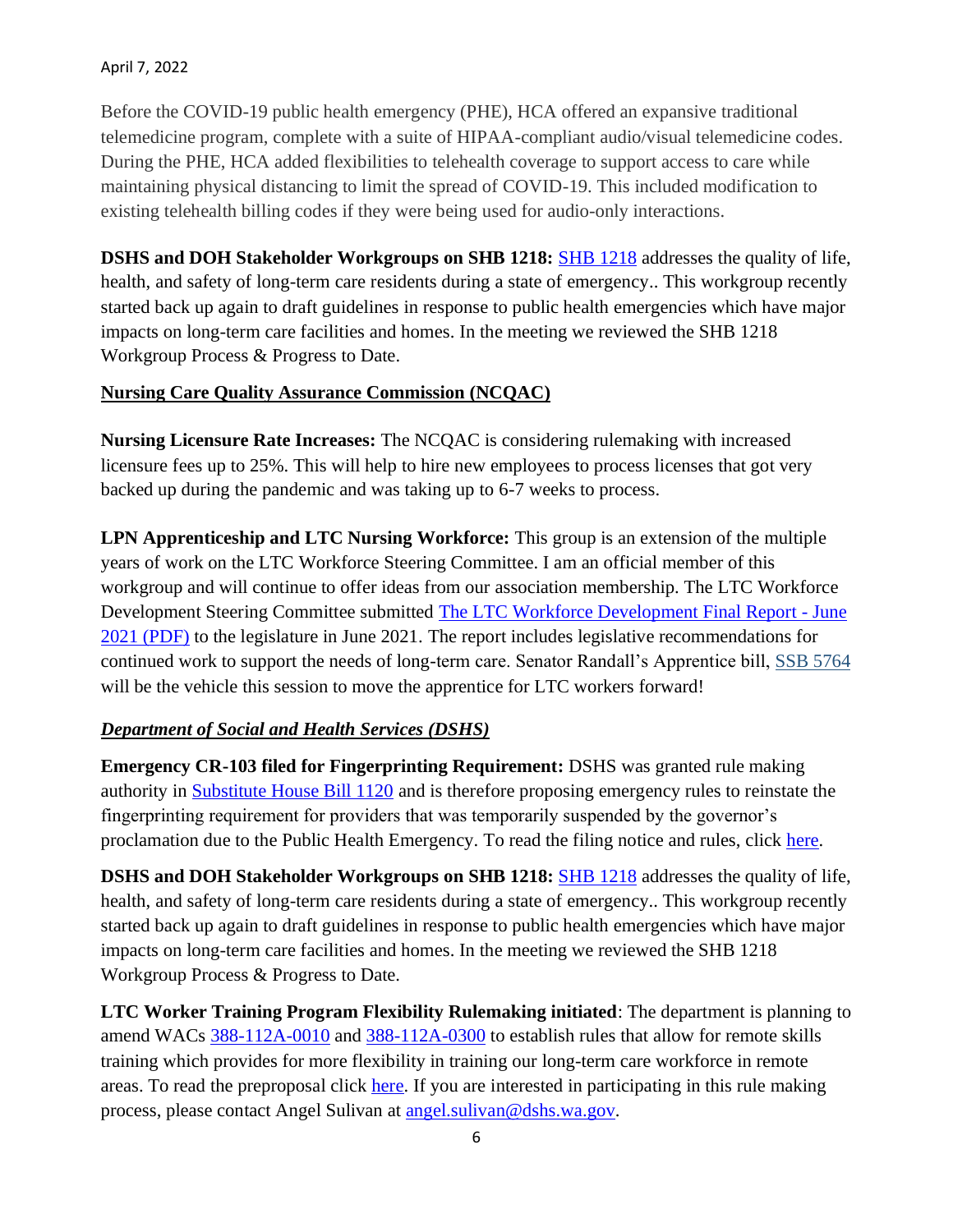#### April 7, 2022

Before the COVID-19 public health emergency (PHE), HCA offered an expansive traditional telemedicine program, complete with a suite of HIPAA-compliant audio/visual telemedicine codes. During the PHE, HCA added flexibilities to telehealth coverage to support access to care while maintaining physical distancing to limit the spread of COVID-19. This included modification to existing telehealth billing codes if they were being used for audio-only interactions.

**DSHS and DOH Stakeholder Workgroups on SHB 1218:** [SHB 1218](https://app.leg.wa.gov/billsummary?BillNumber=1218&Year=2021&Initiative=false) addresses the quality of life, health, and safety of long-term care residents during a state of emergency.. This workgroup recently started back up again to draft guidelines in response to public health emergencies which have major impacts on long-term care facilities and homes. In the meeting we reviewed the SHB 1218 Workgroup Process & Progress to Date.

### **Nursing Care Quality Assurance Commission (NCQAC)**

**Nursing Licensure Rate Increases:** The NCQAC is considering rulemaking with increased licensure fees up to 25%. This will help to hire new employees to process licenses that got very backed up during the pandemic and was taking up to 6-7 weeks to process.

**LPN Apprenticeship and LTC Nursing Workforce:** This group is an extension of the multiple years of work on the LTC Workforce Steering Committee. I am an official member of this workgroup and will continue to offer ideas from our association membership. The LTC Workforce Development Steering Committee submitted [The LTC Workforce Development Final Report -](https://www.dshs.wa.gov/altsa/dementia-action-collaborative) June [2021 \(PDF\)](https://www.dshs.wa.gov/altsa/dementia-action-collaborative) to the legislature in June 2021. The report includes legislative recommendations for continued work to support the needs of long-term care. Senator Randall's Apprentice bill, [SSB 5764](https://portal.lobbygov.com/dashboard) will be the vehicle this session to move the apprentice for LTC workers forward!

## *Department of Social and Health Services (DSHS)*

**Emergency CR-103 filed for Fingerprinting Requirement:** DSHS was granted rule making authority in [Substitute House Bill 1120](https://hcaw.wildapricot.org/Donate?q=20220301111835&utm_medium=email&utm_source=govdelivery) and is therefore proposing emergency rules to reinstate the fingerprinting requirement for providers that was temporarily suspended by the governor's proclamation due to the Public Health Emergency. To read the filing notice and rules, click [here.](https://doh.wa.gov/sites/default/files/2022-03/2207063pharmacymedicationassistanceCR103Efinal.pdf?utm_medium=email&utm_source=govdelivery)

**DSHS and DOH Stakeholder Workgroups on SHB 1218:** [SHB 1218](https://app.leg.wa.gov/billsummary?BillNumber=1218&Year=2021&Initiative=false) addresses the quality of life, health, and safety of long-term care residents during a state of emergency.. This workgroup recently started back up again to draft guidelines in response to public health emergencies which have major impacts on long-term care facilities and homes. In the meeting we reviewed the SHB 1218 Workgroup Process & Progress to Date.

**LTC Worker Training Program Flexibility Rulemaking initiated**: The department is planning to amend WACs [388-112A-0010](http://app.leg.wa.gov/billsummary) and [388-112A-0300](https://lnks.gd/l/eyJhbGciOiJIUzI1NiJ9.eyJidWxsZXRpbl9saW5rX2lkIjoxMDIsInVyaSI6ImJwMjpjbGljayIsImJ1bGxldGluX2lkIjoiMjAyMTExMDIuNDgyOTA2MTEiLCJ1cmwiOiJodHRwczovL2FwcC5sZWcud2EuZ292L1dBQy9kZWZhdWx0LmFzcHg_Y2l0ZT0zODgtMTEyQS0wMzAwJnV0bV9tZWRpdW09ZW1haWwmdXRtX3NvdXJjZT1nb3ZkZWxpdmVyeSJ9.zPZx5aKTk4bANNLC1Qjs-QEVIi4fndlIoFfKv5Sbh0E/s/815314662/br/116522721160-l) to establish rules that allow for remote skills training which provides for more flexibility in training our long-term care workforce in remote areas. To read the preproposal click [here.](https://lnks.gd/l/eyJhbGciOiJIUzI1NiJ9.eyJidWxsZXRpbl9saW5rX2lkIjoxMDMsInVyaSI6ImJwMjpjbGljayIsImJ1bGxldGluX2lkIjoiMjAyMTExMDIuNDgyOTA2MTEiLCJ1cmwiOiJodHRwczovL3d3dy5kc2hzLndhLmdvdi9zaXRlcy9kZWZhdWx0L2ZpbGVzL3JwYXUvZG9jdW1lbnRzLzEwMS0yMS0yMi0wNzYucGRmP3V0bV9tZWRpdW09ZW1haWwmdXRtX3NvdXJjZT1nb3ZkZWxpdmVyeSJ9.jW7ZFiKJOgnh0LleAmyoqsWhpn9XfFrgUObBMRpdoxU/s/815314662/br/116522721160-l) If you are interested in participating in this rule making process, please contact Angel Sulivan at [angel.sulivan@dshs.wa.gov.](https://www.doh.wa.gov/Portals/1/Documents/6000/2021LTCWorkforceDevelopmentReport.pdf)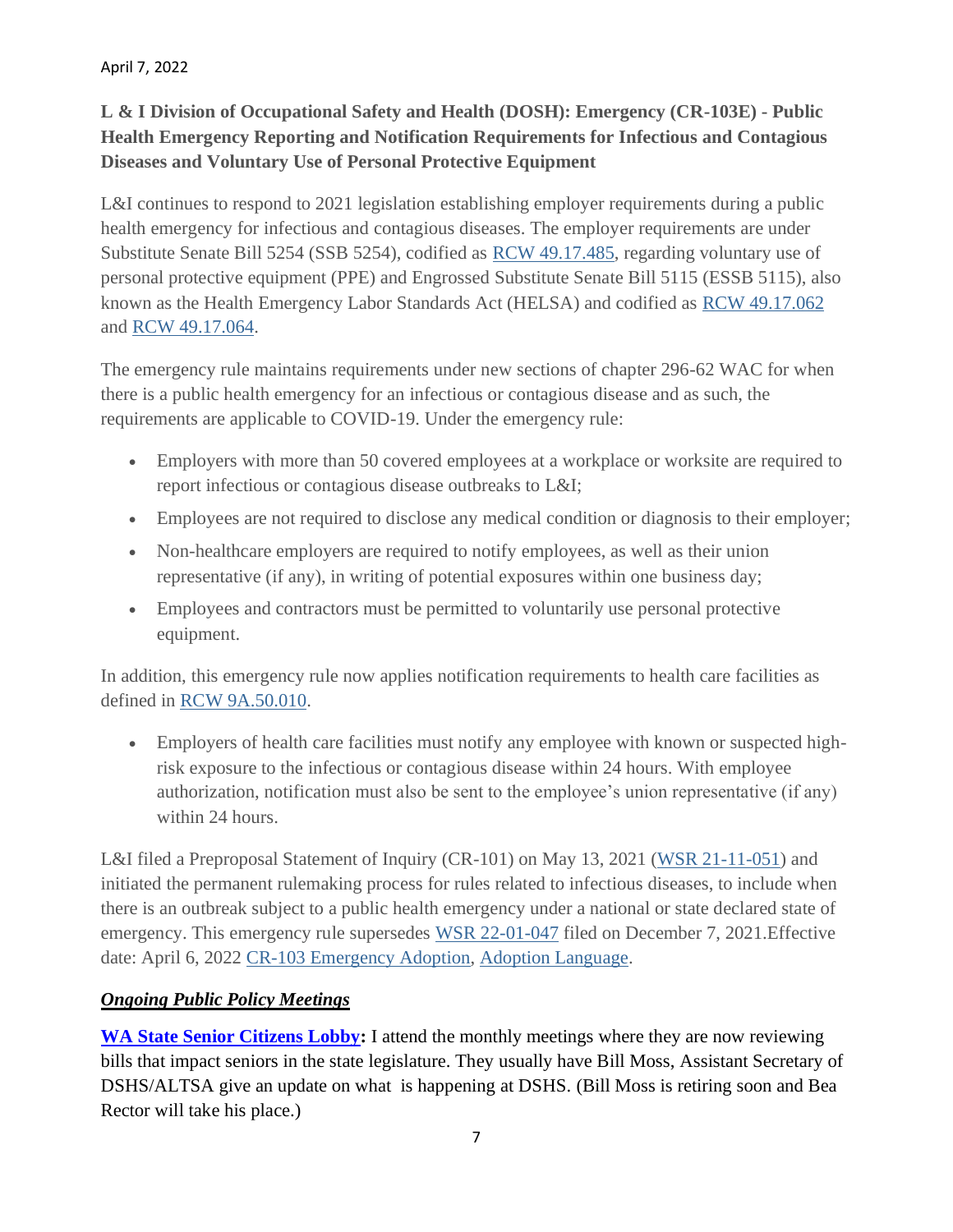April 7, 2022

# **L & I Division of Occupational Safety and Health (DOSH): Emergency (CR-103E) - Public Health Emergency Reporting and Notification Requirements for Infectious and Contagious Diseases and Voluntary Use of Personal Protective Equipment**

L&I continues to respond to 2021 legislation establishing employer requirements during a public health emergency for infectious and contagious diseases. The employer requirements are under Substitute Senate Bill 5254 (SSB 5254), codified as [RCW 49.17.485,](https://lnks.gd/l/eyJhbGciOiJIUzI1NiJ9.eyJidWxsZXRpbl9saW5rX2lkIjoxMDIsInVyaSI6ImJwMjpjbGljayIsImJ1bGxldGluX2lkIjoiMjAyMjA0MDcuNTYwOTQ2MTEiLCJ1cmwiOiJodHRwczovL2FwcC5sZWcud2EuZ292L1JDVy9kZWZhdWx0LmFzcHg_Y2l0ZT00OS4xNy40ODUmdXRtX21lZGl1bT1lbWFpbCZ1dG1fc291cmNlPWdvdmRlbGl2ZXJ5In0._RNHSiLuyV8Mu1DMGRBYIqkOEtU3cn7U5kGtzNLIdrk/s/767908333/br/129508299077-l) regarding voluntary use of personal protective equipment (PPE) and Engrossed Substitute Senate Bill 5115 (ESSB 5115), also known as the Health Emergency Labor Standards Act (HELSA) and codified as [RCW 49.17.062](https://app.leg.wa.gov/billsummary/) and [RCW 49.17.064.](https://www.dshs.wa.gov/sites/default/files/rpau/ap/103E-22-06-074.pdf)

The emergency rule maintains requirements under new sections of chapter 296-62 WAC for when there is a public health emergency for an infectious or contagious disease and as such, the requirements are applicable to COVID-19. Under the emergency rule:

- Employers with more than 50 covered employees at a workplace or worksite are required to report infectious or contagious disease outbreaks to L&I;
- Employees are not required to disclose any medical condition or diagnosis to their employer;
- Non-healthcare employers are required to notify employees, as well as their union representative (if any), in writing of potential exposures within one business day;
- Employees and contractors must be permitted to voluntarily use personal protective equipment.

In addition, this emergency rule now applies notification requirements to health care facilities as defined in [RCW 9A.50.010.](https://lnks.gd/l/eyJhbGciOiJIUzI1NiJ9.eyJidWxsZXRpbl9saW5rX2lkIjoxMDUsInVyaSI6ImJwMjpjbGljayIsImJ1bGxldGluX2lkIjoiMjAyMjA0MDcuNTYwOTQ2MTEiLCJ1cmwiOiJodHRwczovL2FwcC5sZWcud2EuZ292L3Jjdy9kZWZhdWx0LmFzcHg_Y2l0ZT05QS41MC4wMTAmdXRtX21lZGl1bT1lbWFpbCZ1dG1fc291cmNlPWdvdmRlbGl2ZXJ5In0.ntdt4AVmAQrP8rYU5AvvHZbQt9pKaygGELfdm6tgGoI/s/767908333/br/129508299077-l)

• Employers of health care facilities must notify any employee with known or suspected highrisk exposure to the infectious or contagious disease within 24 hours. With employee authorization, notification must also be sent to the employee's union representative (if any) within 24 hours.

L&I filed a Preproposal Statement of Inquiry (CR-101) on May 13, 2021 [\(WSR 21-11-051\)](mailto:healthequityimplementation@doh.wa.gov) and initiated the permanent rulemaking process for rules related to infectious diseases, to include when there is an outbreak subject to a public health emergency under a national or state declared state of emergency. This emergency rule supersedes [WSR 22-01-047](https://lnks.gd/l/eyJhbGciOiJIUzI1NiJ9.eyJidWxsZXRpbl9saW5rX2lkIjoxMDcsInVyaSI6ImJwMjpjbGljayIsImJ1bGxldGluX2lkIjoiMjAyMjA0MDcuNTYwOTQ2MTEiLCJ1cmwiOiJodHRwczovL2xhd2ZpbGVzZXh0LmxlZy53YS5nb3YvbGF3L3dzcnBkZi8yMDIyLzAxLzIyLTAxLTA0Ny5wZGY_dXRtX21lZGl1bT1lbWFpbCZ1dG1fc291cmNlPWdvdmRlbGl2ZXJ5In0.xtK7DOuavDhIqDvmIPNM1yKn8AbokPz1HEA1qn0bSFE/s/767908333/br/129508299077-l) filed on December 7, 2021. Effective date: April 6, 2022 [CR-103 Emergency Adoption,](https://fortress.wa.gov/doh/opinio/s) [Adoption Language.](mailto:angel.sulivan@dshs.wa.gov)

# *Ongoing Public Policy Meetings*

**[WA State Senior Citizens Lobby:](https://www.waseniorlobby.org/)** I attend the monthly meetings where they are now reviewing bills that impact seniors in the state legislature. They usually have Bill Moss, Assistant Secretary of DSHS/ALTSA give an update on what is happening at DSHS. (Bill Moss is retiring soon and Bea Rector will take his place.)